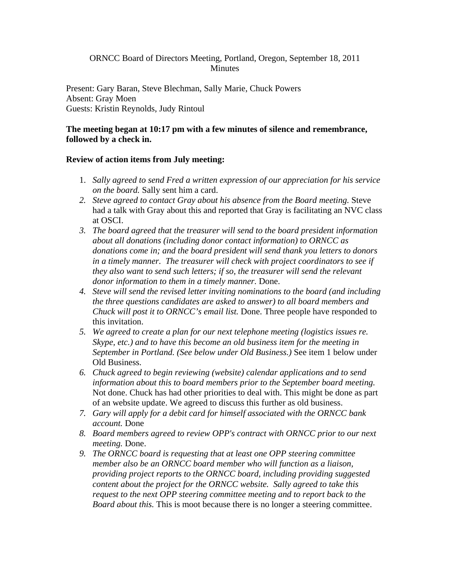## ORNCC Board of Directors Meeting, Portland, Oregon, September 18, 2011 **Minutes**

Present: Gary Baran, Steve Blechman, Sally Marie, Chuck Powers Absent: Gray Moen Guests: Kristin Reynolds, Judy Rintoul

### **The meeting began at 10:17 pm with a few minutes of silence and remembrance, followed by a check in.**

### **Review of action items from July meeting:**

- 1. *Sally agreed to send Fred a written expression of our appreciation for his service on the board.* Sally sent him a card.
- *2. Steve agreed to contact Gray about his absence from the Board meeting.* Steve had a talk with Gray about this and reported that Gray is facilitating an NVC class at OSCI.
- *3. The board agreed that the treasurer will send to the board president information about all donations (including donor contact information) to ORNCC as donations come in; and the board president will send thank you letters to donors in a timely manner. The treasurer will check with project coordinators to see if they also want to send such letters; if so, the treasurer will send the relevant donor information to them in a timely manner.* Done.
- *4. Steve will send the revised letter inviting nominations to the board (and including the three questions candidates are asked to answer) to all board members and Chuck will post it to ORNCC's email list.* Done. Three people have responded to this invitation.
- *5. We agreed to create a plan for our next telephone meeting (logistics issues re. Skype, etc.) and to have this become an old business item for the meeting in September in Portland. (See below under Old Business.)* See item 1 below under Old Business.
- *6. Chuck agreed to begin reviewing (website) calendar applications and to send information about this to board members prior to the September board meeting.*  Not done. Chuck has had other priorities to deal with. This might be done as part of an website update. We agreed to discuss this further as old business.
- *7. Gary will apply for a debit card for himself associated with the ORNCC bank account.* Done
- *8. Board members agreed to review OPP's contract with ORNCC prior to our next meeting.* Done.
- *9. The ORNCC board is requesting that at least one OPP steering committee member also be an ORNCC board member who will function as a liaison, providing project reports to the ORNCC board, including providing suggested content about the project for the ORNCC website. Sally agreed to take this request to the next OPP steering committee meeting and to report back to the Board about this.* This is moot because there is no longer a steering committee.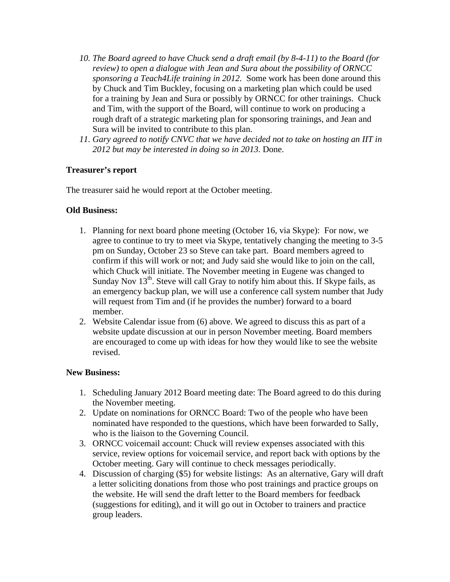- *10. The Board agreed to have Chuck send a draft email (by 8-4-11) to the Board (for review) to open a dialogue with Jean and Sura about the possibility of ORNCC sponsoring a Teach4Life training in 2012.* Some work has been done around this by Chuck and Tim Buckley, focusing on a marketing plan which could be used for a training by Jean and Sura or possibly by ORNCC for other trainings. Chuck and Tim, with the support of the Board, will continue to work on producing a rough draft of a strategic marketing plan for sponsoring trainings, and Jean and Sura will be invited to contribute to this plan.
- *11. Gary agreed to notify CNVC that we have decided not to take on hosting an IIT in 2012 but may be interested in doing so in 2013.* Done.

## **Treasurer's report**

The treasurer said he would report at the October meeting.

## **Old Business:**

- 1. Planning for next board phone meeting (October 16, via Skype): For now, we agree to continue to try to meet via Skype, tentatively changing the meeting to 3-5 pm on Sunday, October 23 so Steve can take part. Board members agreed to confirm if this will work or not; and Judy said she would like to join on the call, which Chuck will initiate. The November meeting in Eugene was changed to Sunday Nov  $13<sup>th</sup>$ . Steve will call Gray to notify him about this. If Skype fails, as an emergency backup plan, we will use a conference call system number that Judy will request from Tim and (if he provides the number) forward to a board member.
- 2. Website Calendar issue from (6) above. We agreed to discuss this as part of a website update discussion at our in person November meeting. Board members are encouraged to come up with ideas for how they would like to see the website revised.

### **New Business:**

- 1. Scheduling January 2012 Board meeting date: The Board agreed to do this during the November meeting.
- 2. Update on nominations for ORNCC Board: Two of the people who have been nominated have responded to the questions, which have been forwarded to Sally, who is the liaison to the Governing Council.
- 3. ORNCC voicemail account: Chuck will review expenses associated with this service, review options for voicemail service, and report back with options by the October meeting. Gary will continue to check messages periodically.
- 4. Discussion of charging (\$5) for website listings: As an alternative, Gary will draft a letter soliciting donations from those who post trainings and practice groups on the website. He will send the draft letter to the Board members for feedback (suggestions for editing), and it will go out in October to trainers and practice group leaders.